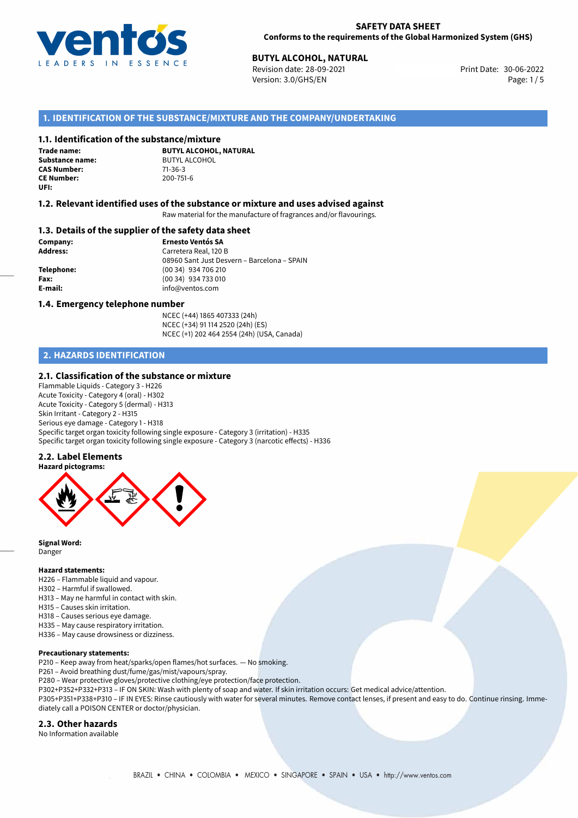

# **BUTYL ALCOHOL, NATURAL**<br>30-06-2022 **Butler** Revision date: 28-09-2021

Revision date: 28-09-2021 Version: 3.0/GHS/EN Page: 1/5

# **1. IDENTIFICATION OF THE SUBSTANCE/MIXTURE AND THE COMPANY/UNDERTAKING**

#### **1.1. Identification of the substance/mixture**

**Trade name: CAS Number: CE Number:** 200-751-6 **UFI:**

**BUTYL ALCOHOL, NATURAL Substance name:** BUTYL ALCOHOL<br> **CAS Number:** 71-36-3

## **1.2. Relevant identified uses of the substance or mixture and uses advised against**

Raw material for the manufacture of fragrances and/or flavourings.

#### **1.3. Details of the supplier of the safety data sheet**

**Company: Ernesto Ventós SA Address:** Carretera Real, 120 B 08960 Sant Just Desvern – Barcelona – SPAIN **Telephone:** (00 34) 934 706 210 **Fax:** (00 34) 934 733 010 **E-mail:** info@ventos.com

#### **1.4. Emergency telephone number**

NCEC (+44) 1865 407333 (24h) NCEC (+34) 91 114 2520 (24h) (ES) NCEC (+1) 202 464 2554 (24h) (USA, Canada)

# **2. HAZARDS IDENTIFICATION**

#### **2.1. Classification of the substance or mixture**

Flammable Liquids - Category 3 - H226 Acute Toxicity - Category 4 (oral) - H302 Acute Toxicity - Category 5 (dermal) - H313 Skin Irritant - Category 2 - H315 Serious eye damage - Category 1 - H318 Specific target organ toxicity following single exposure - Category 3 (irritation) - H335 Specific target organ toxicity following single exposure - Category 3 (narcotic effects) - H336

#### **2.2. Label Elements**



**Signal Word:** Danger

#### **Hazard statements:**

- H226 Flammable liquid and vapour.
- H302 Harmful if swallowed.
- H313 May ne harmful in contact with skin.
- H315 Causes skin irritation.
- H318 Causes serious eye damage.
- H335 May cause respiratory irritation.
- H336 May cause drowsiness or dizziness.

#### **Precautionary statements:**

- P210 Keep away from heat/sparks/open flames/hot surfaces. No smoking.
- P261 Avoid breathing dust/fume/gas/mist/vapours/spray.
- P280 Wear protective gloves/protective clothing/eye protection/face protection.
- P302+P352+P332+P313 IF ON SKIN: Wash with plenty of soap and water. If skin irritation occurs: Get medical advice/attention.

P305+P351+P338+P310 – IF IN EYES: Rinse cautiously with water for several minutes. Remove contact lenses, if present and easy to do. Continue rinsing. Immediately call a POISON CENTER or doctor/physician.

#### **2.3. Other hazards**

No Information available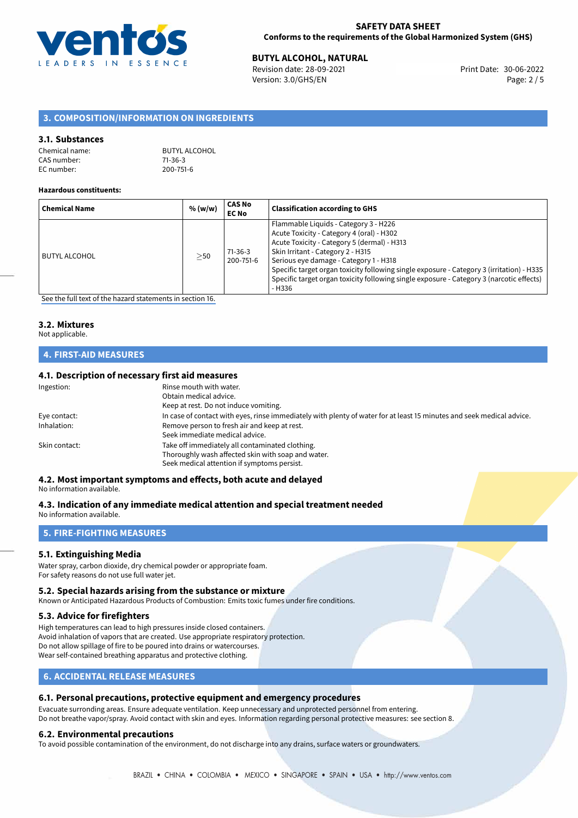

# **BUTYL ALCOHOL, NATURAL**<br>30-06-2022 **Butler** Revision date: 28-09-2021

Revision date: 28-09-2021 Version: 3.0/GHS/EN Page: 2 / 5

# **3. COMPOSITION/INFORMATION ON INGREDIENTS**

#### **3.1. Substances**

| Chemical name: | <b>BUTYL ALCOHOL</b> |
|----------------|----------------------|
| CAS number:    | 71-36-3              |
| EC number:     | 200-751-6            |

#### **Hazardous constituents:**

| <b>Chemical Name</b> | % (w/w)   | <b>CAS No</b><br><b>EC No</b> | <b>Classification according to GHS</b>                                                                                                                                                                                                                                                                                                                                                                              |
|----------------------|-----------|-------------------------------|---------------------------------------------------------------------------------------------------------------------------------------------------------------------------------------------------------------------------------------------------------------------------------------------------------------------------------------------------------------------------------------------------------------------|
| <b>BUTYL ALCOHOL</b> | $\geq$ 50 | $71-36-3$<br>200-751-6        | Flammable Liquids - Category 3 - H226<br>Acute Toxicity - Category 4 (oral) - H302<br>Acute Toxicity - Category 5 (dermal) - H313<br>Skin Irritant - Category 2 - H315<br>Serious eye damage - Category 1 - H318<br>Specific target organ toxicity following single exposure - Category 3 (irritation) - H335<br>Specific target organ toxicity following single exposure - Category 3 (narcotic effects)<br>- H336 |

[See the full text of the hazard statements in section 16.](#page-4-0)

# **3.2. Mixtures**

### Not applicable.

# **4. FIRST-AID MEASURES**

#### **4.1. Description of necessary first aid measures**

| Ingestion:    | Rinse mouth with water.                                                                                               |
|---------------|-----------------------------------------------------------------------------------------------------------------------|
|               | Obtain medical advice.                                                                                                |
|               | Keep at rest. Do not induce vomiting.                                                                                 |
| Eye contact:  | In case of contact with eyes, rinse immediately with plenty of water for at least 15 minutes and seek medical advice. |
| Inhalation:   | Remove person to fresh air and keep at rest.                                                                          |
|               | Seek immediate medical advice.                                                                                        |
| Skin contact: | Take off immediately all contaminated clothing.                                                                       |
|               | Thoroughly wash affected skin with soap and water.                                                                    |
|               | Seek medical attention if symptoms persist.                                                                           |
|               |                                                                                                                       |

# **4.2. Most important symptoms and effects, both acute and delayed**

#### No information available.

# **4.3. Indication of any immediate medical attention and special treatment needed**

No information available.

# **5. FIRE-FIGHTING MEASURES**

#### **5.1. Extinguishing Media**

Water spray, carbon dioxide, dry chemical powder or appropriate foam. For safety reasons do not use full water jet.

#### **5.2. Special hazards arising from the substance or mixture**

Known or Anticipated Hazardous Products of Combustion: Emits toxic fumes under fire conditions.

#### **5.3. Advice for firefighters**

High temperatures can lead to high pressures inside closed containers. Avoid inhalation of vapors that are created. Use appropriate respiratory protection. Do not allow spillage of fire to be poured into drains or watercourses. Wear self-contained breathing apparatus and protective clothing.

# **6. ACCIDENTAL RELEASE MEASURES**

#### **6.1. Personal precautions, protective equipment and emergency procedures**

Evacuate surronding areas. Ensure adequate ventilation. Keep unnecessary and unprotected personnel from entering. Do not breathe vapor/spray. Avoid contact with skin and eyes. Information regarding personal protective measures: see section 8.

#### **6.2. Environmental precautions**

To avoid possible contamination of the environment, do not discharge into any drains, surface waters or groundwaters.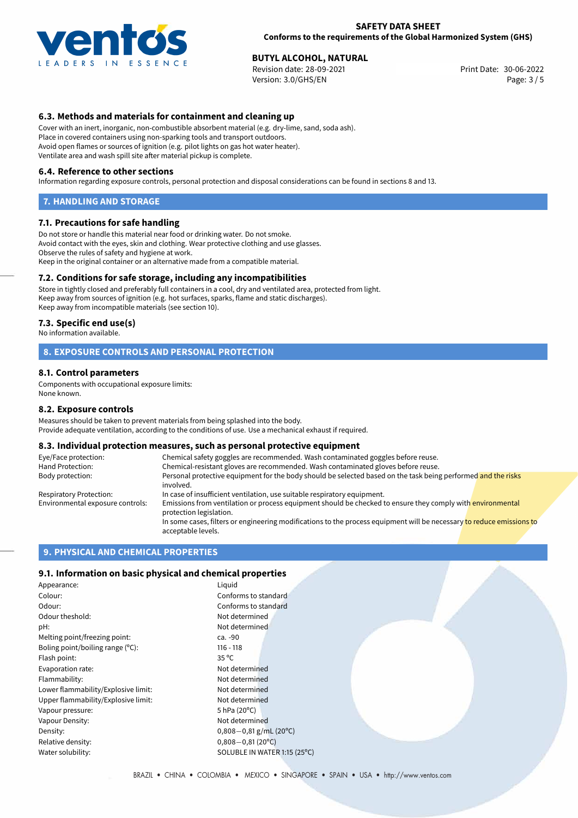

# **BUTYL ALCOHOL, NATURAL**<br>30-06-2022 **Buyles Revision date: 28-09-2021 Buyles Revision date: 30-06-2022**

Revision date: 28-09-2021 Version: 3.0/GHS/EN Page: 3 / 5

## **6.3. Methods and materials for containment and cleaning up**

Cover with an inert, inorganic, non-combustible absorbent material (e.g. dry-lime, sand, soda ash). Place in covered containers using non-sparking tools and transport outdoors. Avoid open flames or sources of ignition (e.g. pilot lights on gas hot water heater). Ventilate area and wash spill site after material pickup is complete.

#### **6.4. Reference to other sections**

Information regarding exposure controls, personal protection and disposal considerations can be found in sections 8 and 13.

#### **7. HANDLING AND STORAGE**

#### **7.1. Precautions for safe handling**

Do not store or handle this material near food or drinking water. Do not smoke. Avoid contact with the eyes, skin and clothing. Wear protective clothing and use glasses. Observe the rules of safety and hygiene at work. Keep in the original container or an alternative made from a compatible material.

#### **7.2. Conditions for safe storage, including any incompatibilities**

Store in tightly closed and preferably full containers in a cool, dry and ventilated area, protected from light. Keep away from sources of ignition (e.g. hot surfaces, sparks, flame and static discharges). Keep away from incompatible materials (see section 10).

#### **7.3. Specific end use(s)**

No information available.

#### **8. EXPOSURE CONTROLS AND PERSONAL PROTECTION**

#### **8.1. Control parameters**

Components with occupational exposure limits: None known.

#### **8.2. Exposure controls**

Measures should be taken to prevent materials from being splashed into the body. Provide adequate ventilation, according to the conditions of use. Use a mechanical exhaust if required.

#### **8.3. Individual protection measures, such as personal protective equipment**

| Eye/Face protection:             | Chemical safety goggles are recommended. Wash contaminated goggles before reuse.                                                            |  |  |
|----------------------------------|---------------------------------------------------------------------------------------------------------------------------------------------|--|--|
| Hand Protection:                 | Chemical-resistant gloves are recommended. Wash contaminated gloves before reuse.                                                           |  |  |
| Body protection:                 | Personal protective equipment for the body should be selected based on the task being performed and the risks<br>involved.                  |  |  |
| Respiratory Protection:          | In case of insufficient ventilation, use suitable respiratory equipment.                                                                    |  |  |
| Environmental exposure controls: | Emissions from ventilation or process equipment should be checked to ensure they comply with environmental<br>protection legislation.       |  |  |
|                                  | In some cases, filters or engineering modifications to the process equipment will be necessary to reduce emissions to<br>acceptable levels. |  |  |

#### **9. PHYSICAL AND CHEMICAL PROPERTIES**

#### **9.1. Information on basic physical and chemical properties**

| Appearance:                         | Liguid                             |
|-------------------------------------|------------------------------------|
| Colour:                             | Conforms to standard               |
| Odour:                              | Conforms to standard               |
| Odour theshold:                     | Not determined                     |
| pH:                                 | Not determined                     |
| Melting point/freezing point:       | ca. -90                            |
| Boling point/boiling range (°C):    | $116 - 118$                        |
| Flash point:                        | $35^{\circ}$ C                     |
| Evaporation rate:                   | Not determined                     |
| Flammability:                       | Not determined                     |
| Lower flammability/Explosive limit: | Not determined                     |
| Upper flammability/Explosive limit: | Not determined                     |
| Vapour pressure:                    | 5 hPa (20°C)                       |
| Vapour Density:                     | Not determined                     |
| Density:                            | $0,808-0,81$ g/mL (20 <sup>o</sup> |
| Relative density:                   | $0,808 - 0,81(20^{\circ}C)$        |
| Water solubility:                   | SOLUBLE IN WATER 1:1               |

Conforms to standard Not determined Not determined Not determined Not determined Not determined Not determined  $5$  hPa (20 $^{\circ}$ C) Not determined Density: 0,808*−*0,81 g/mL (20ºC) Relative density: 0,808*−*0,81 (20ºC) SOLUBLE IN WATER 1:15 (25°C)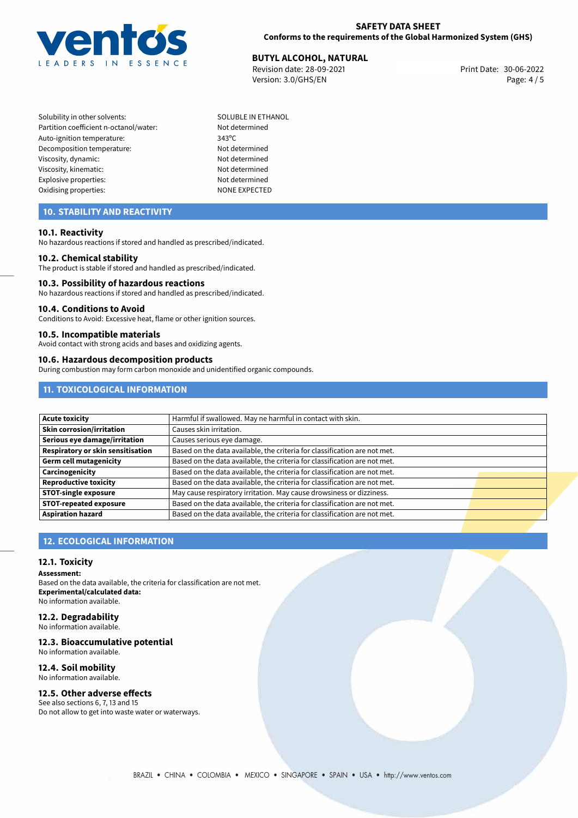

# **BUTYL ALCOHOL, NATURAL**<br>30-06-2022 **Burner Burner Burner Burner Burner** Print Date: 30-06-2022

Revision date: 28-09-2021 Version: 3.0/GHS/EN Page: 4 / 5

- Solubility in other solvents: SOLUBLE IN ETHANOL Partition coefficient n-octanol/water: Not determined Auto-ignition temperature: 343°C Decomposition temperature: Not determined Viscosity, dynamic: Not determined Viscosity, kinematic: Viscosity, kinematic: Not determined Explosive properties: Not determined Oxidising properties: NONE EXPECTED
	-

# **10. STABILITY AND REACTIVITY**

#### **10.1. Reactivity**

No hazardous reactions if stored and handled as prescribed/indicated.

#### **10.2. Chemical stability**

The product is stable if stored and handled as prescribed/indicated.

#### **10.3. Possibility of hazardous reactions**

No hazardous reactions if stored and handled as prescribed/indicated.

#### **10.4. Conditions to Avoid**

Conditions to Avoid: Excessive heat, flame or other ignition sources.

#### **10.5. Incompatible materials**

Avoid contact with strong acids and bases and oxidizing agents.

#### **10.6. Hazardous decomposition products**

During combustion may form carbon monoxide and unidentified organic compounds.

# **11. TOXICOLOGICAL INFORMATION**

| <b>Acute toxicity</b>             | Harmful if swallowed. May ne harmful in contact with skin.                |  |
|-----------------------------------|---------------------------------------------------------------------------|--|
| <b>Skin corrosion/irritation</b>  | Causes skin irritation.                                                   |  |
| Serious eye damage/irritation     | Causes serious eye damage.                                                |  |
| Respiratory or skin sensitisation | Based on the data available, the criteria for classification are not met. |  |
| Germ cell mutagenicity            | Based on the data available, the criteria for classification are not met. |  |
| Carcinogenicity                   | Based on the data available, the criteria for classification are not met. |  |
| <b>Reproductive toxicity</b>      | Based on the data available, the criteria for classification are not met. |  |
| <b>STOT-single exposure</b>       | May cause respiratory irritation. May cause drowsiness or dizziness.      |  |
| <b>STOT-repeated exposure</b>     | Based on the data available, the criteria for classification are not met. |  |
| <b>Aspiration hazard</b>          | Based on the data available, the criteria for classification are not met. |  |

# **12. ECOLOGICAL INFORMATION**

#### **12.1. Toxicity**

**Assessment:**

Based on the data available, the criteria for classification are not met. **Experimental/calculated data:** No information available.

# **12.2. Degradability**

No information available.

## **12.3. Bioaccumulative potential**

No information available.

# **12.4. Soil mobility**

No information available.

# **12.5. Other adverse effects**

See also sections 6, 7, 13 and 15 Do not allow to get into waste water or waterways.